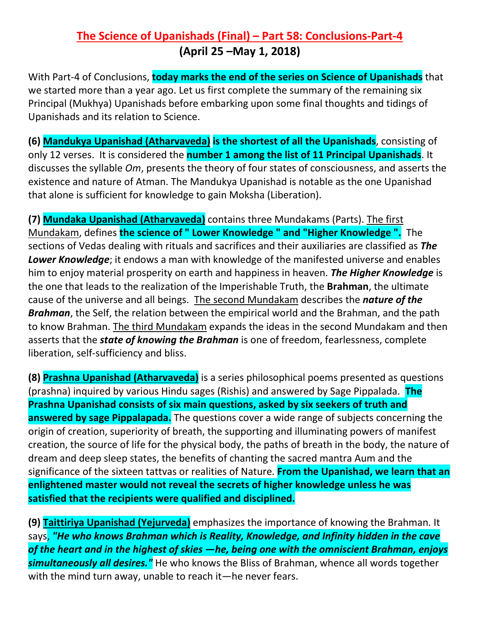## **The Science of Upanishads (Final) – Part 58: Conclusions-Part-4 (April 25 –May 1, 2018)**

With Part-4 of Conclusions, **today marks the end of the series on Science of Upanishads** that we started more than a year ago. Let us first complete the summary of the remaining six Principal (Mukhya) Upanishads before embarking upon some final thoughts and tidings of Upanishads and its relation to Science.

**(6) Mandukya Upanishad (Atharvaveda) is the shortest of all the Upanishads**, consisting of only 12 verses. It is considered the **number 1 among the list of 11 Principal Upanishads**. It discusses the syllable *Om*, presents the theory of four states of consciousness, and asserts the existence and nature of Atman. The Mandukya Upanishad is notable as the one Upanishad that alone is sufficient for knowledge to gain Moksha (Liberation).

**(7) Mundaka Upanishad (Atharvaveda)** contains three Mundakams (Parts). The first Mundakam, defines **the science of " Lower Knowledge " and "Higher Knowledge ".** The sections of Vedas dealing with rituals and sacrifices and their auxiliaries are classified as *The Lower Knowledge*; it endows a man with knowledge of the manifested universe and enables him to enjoy material prosperity on earth and happiness in heaven. *The Higher Knowledge* is the one that leads to the realization of the Imperishable Truth, the **Brahman**, the ultimate cause of the universe and all beings. The second Mundakam describes the *nature of the Brahman*, the Self, the relation between the empirical world and the Brahman, and the path to know Brahman. The third Mundakam expands the ideas in the second Mundakam and then asserts that the *state of knowing the Brahman* is one of freedom, fearlessness, complete liberation, self-sufficiency and bliss.

**(8) Prashna Upanishad (Atharvaveda)** is a series philosophical poems presented as questions (prashna) inquired by various Hindu sages (Rishis) and answered by Sage Pippalada. **The Prashna Upanishad consists of six main questions, asked by six seekers of truth and answered by sage Pippalapada.** The questions cover a wide range of subjects concerning the origin of creation, superiority of breath, the supporting and illuminating powers of manifest creation, the source of life for the physical body, the paths of breath in the body, the nature of dream and deep sleep states, the benefits of chanting the sacred mantra Aum and the significance of the sixteen tattvas or realities of Nature. **From the Upanishad, we learn that an enlightened master would not reveal the secrets of higher knowledge unless he was satisfied that the recipients were qualified and disciplined.**

**(9) Taittiriya Upanishad (Yejurveda)** emphasizes the importance of knowing the Brahman. It says, *"He who knows Brahman which is Reality, Knowledge, and Infinity hidden in the cave of the heart and in the highest of skies —he, being one with the omniscient Brahman, enjoys simultaneously all desires."* He who knows the Bliss of Brahman, whence all words together with the mind turn away, unable to reach it—he never fears.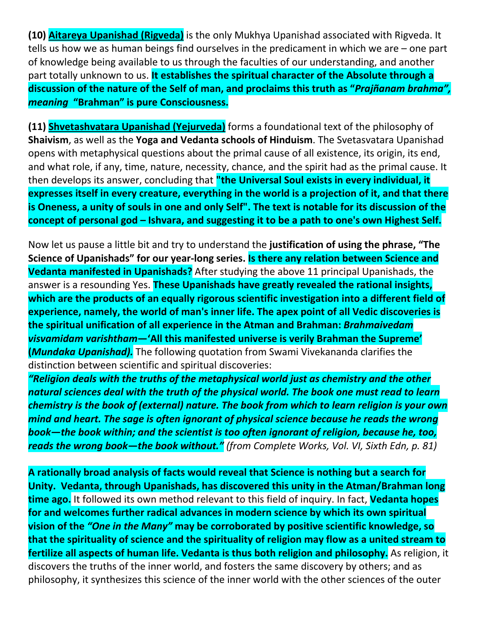**(10) Aitareya Upanishad (Rigveda)** is the only Mukhya Upanishad associated with Rigveda. It tells us how we as human beings find ourselves in the predicament in which we are – one part of knowledge being available to us through the faculties of our understanding, and another part totally unknown to us. **It establishes the spiritual character of the Absolute through a discussion of the nature of the Self of man, and proclaims this truth as "***Prajñanam brahma", meaning* **"Brahman" is pure Consciousness.**

**(11) Shvetashvatara Upanishad (Yejurveda)** forms a foundational text of the philosophy of **Shaivism**, as well as the **Yoga and Vedanta schools of Hinduism**. The Svetasvatara Upanishad opens with metaphysical questions about the primal cause of all existence, its origin, its end, and what role, if any, time, nature, necessity, chance, and the spirit had as the primal cause. It then develops its answer, concluding that **"the Universal Soul exists in every individual, it expresses itself in every creature, everything in the world is a projection of it, and that there is Oneness, a unity of souls in one and only Self". The text is notable for its discussion of the concept of personal god – Ishvara, and suggesting it to be a path to one's own Highest Self.**

Now let us pause a little bit and try to understand the **justification of using the phrase, "The Science of Upanishads" for our year-long series. Is there any relation between Science and Vedanta manifested in Upanishads?** After studying the above 11 principal Upanishads, the answer is a resounding Yes. **These Upanishads have greatly revealed the rational insights, which are the products of an equally rigorous scientific investigation into a different field of experience, namely, the world of man's inner life. The apex point of all Vedic discoveries is the spiritual unification of all experience in the Atman and Brahman:** *Brahmaivedam visvamidam varishtham***—'All this manifested universe is verily Brahman the Supreme' (***Mundaka Upanishad).* The following quotation from Swami Vivekananda clarifies the distinction between scientific and spiritual discoveries:

*"Religion deals with the truths of the metaphysical world just as chemistry and the other natural sciences deal with the truth of the physical world. The book one must read to learn chemistry is the book of (external) nature. The book from which to learn religion is your own mind and heart. The sage is often ignorant of physical science because he reads the wrong book—the book within; and the scientist is too often ignorant of religion, because he, too, reads the wrong book—the book without." (from Complete Works, Vol. VI, Sixth Edn, p. 81)*

**A rationally broad analysis of facts would reveal that Science is nothing but a search for Unity. Vedanta, through Upanishads, has discovered this unity in the Atman/Brahman long time ago.** It followed its own method relevant to this field of inquiry. In fact, **Vedanta hopes for and welcomes further radical advances in modern science by which its own spiritual vision of the** *"One in the Many"* **may be corroborated by positive scientific knowledge, so that the spirituality of science and the spirituality of religion may flow as a united stream to fertilize all aspects of human life. Vedanta is thus both religion and philosophy.** As religion, it discovers the truths of the inner world, and fosters the same discovery by others; and as philosophy, it synthesizes this science of the inner world with the other sciences of the outer